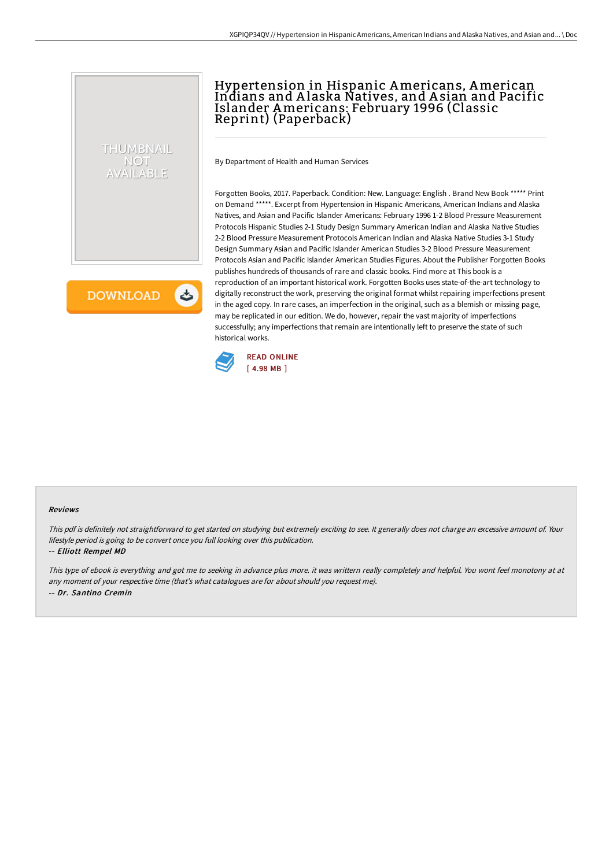# Hypertension in Hispanic Americans, American Indians and A laska Natives, and A sian and Pacific Islander Americans: February 1996 (Classic Reprint) (Paperback)

By Department of Health and Human Services

Forgotten Books, 2017. Paperback. Condition: New. Language: English . Brand New Book \*\*\*\*\* Print on Demand \*\*\*\*\*. Excerpt from Hypertension in Hispanic Americans, American Indians and Alaska Natives, and Asian and Pacific Islander Americans: February 1996 1-2 Blood Pressure Measurement Protocols Hispanic Studies 2-1 Study Design Summary American Indian and Alaska Native Studies 2-2 Blood Pressure Measurement Protocols American Indian and Alaska Native Studies 3-1 Study Design Summary Asian and Pacific Islander American Studies 3-2 Blood Pressure Measurement Protocols Asian and Pacific Islander American Studies Figures. About the Publisher Forgotten Books publishes hundreds of thousands of rare and classic books. Find more at This book is a reproduction of an important historical work. Forgotten Books uses state-of-the-art technology to digitally reconstruct the work, preserving the original format whilst repairing imperfections present in the aged copy. In rare cases, an imperfection in the original, such as a blemish or missing page, may be replicated in our edition. We do, however, repair the vast majority of imperfections successfully; any imperfections that remain are intentionally left to preserve the state of such historical works.



### Reviews

This pdf is definitely not straightforward to get started on studying but extremely exciting to see. It generally does not charge an excessive amount of. Your lifestyle period is going to be convert once you full looking over this publication.

### -- Elliott Rempel MD

THUMBNAIL NOT AVAILABLE

**DOWNLOAD** 

ٹ

This type of ebook is everything and got me to seeking in advance plus more. it was writtern really completely and helpful. You wont feel monotony at at any moment of your respective time (that's what catalogues are for about should you request me). -- Dr. Santino Cremin